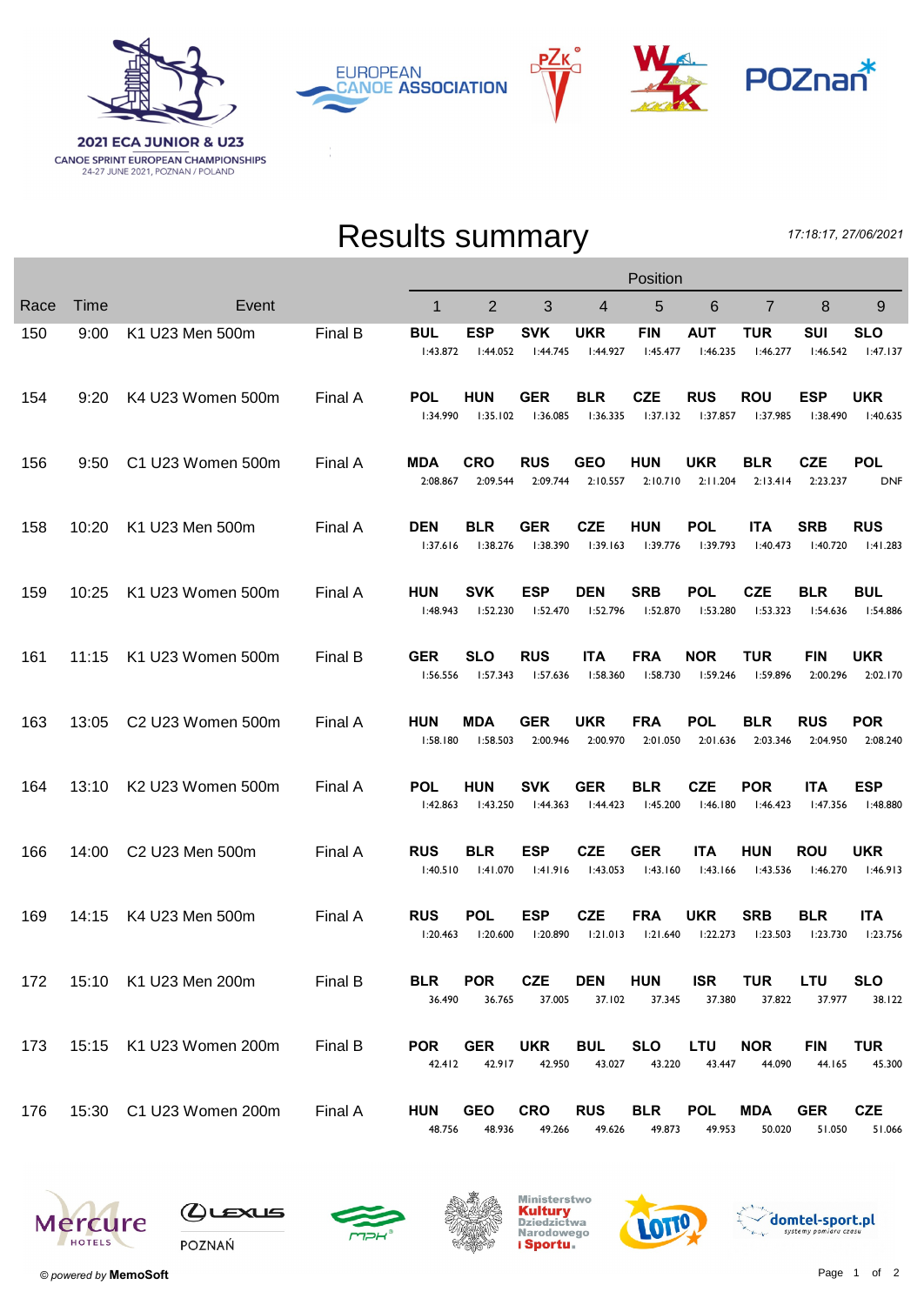

PZк **EUROPEAN CANOE ASSOCIATION** 



## Results summary

17:18:17, 27/06/2021

|      |       |                         |         | Position               |                        |                        |                        |                        |                        |                        |                        |                          |  |
|------|-------|-------------------------|---------|------------------------|------------------------|------------------------|------------------------|------------------------|------------------------|------------------------|------------------------|--------------------------|--|
| Race | Time  | Event                   |         | $\mathbf{1}$           | 2                      | 3                      | 4                      | 5                      | 6                      | $\overline{7}$         | 8                      | 9                        |  |
| 150  | 9:00  | K1 U23 Men 500m         | Final B | <b>BUL</b><br>1:43.872 | ESP<br>1:44.052        | <b>SVK</b><br>1:44.745 | UKR<br>1:44.927        | <b>FIN</b><br>1:45.477 | <b>AUT</b><br>1:46.235 | TUR<br>1:46.277        | SUI<br>1:46.542        | <b>SLO</b><br>1:47.137   |  |
| 154  | 9:20  | K4 U23 Women 500m       | Final A | <b>POL</b><br>1:34.990 | HUN<br>1:35.102        | <b>GER</b><br>I:36.085 | <b>BLR</b><br>1:36.335 | <b>CZE</b><br>1:37.132 | <b>RUS</b><br>l:37.857 | <b>ROU</b><br>1:37.985 | <b>ESP</b><br>1:38.490 | <b>UKR</b><br>1:40.635   |  |
| 156  | 9:50  | C1 U23 Women 500m       | Final A | MDA<br>2:08.867        | CRO<br>2:09.544        | <b>RUS</b><br>2:09.744 | <b>GEO</b><br>2:10.557 | HUN<br>2:10.710        | <b>UKR</b><br>2:11.204 | <b>BLR</b><br>2:13.414 | <b>CZE</b><br>2:23.237 | <b>POL</b><br><b>DNF</b> |  |
| 158  | 10:20 | K1 U23 Men 500m         | Final A | <b>DEN</b><br>1:37.616 | BLR<br>1:38.276        | <b>GER</b><br>1:38.390 | <b>CZE</b><br>1:39.163 | <b>HUN</b><br>1:39.776 | <b>POL</b><br>l:39.793 | <b>ITA</b><br>1:40.473 | <b>SRB</b><br>1:40.720 | <b>RUS</b><br>1:41.283   |  |
| 159  | 10:25 | K1 U23 Women 500m       | Final A | <b>HUN</b><br>1:48.943 | SVK<br>1:52.230        | <b>ESP</b><br>1:52.470 | <b>DEN</b><br>I:52.796 | <b>SRB</b><br>I:52.870 | <b>POL</b><br>1:53.280 | <b>CZE</b><br>1:53.323 | <b>BLR</b><br>1:54.636 | <b>BUL</b><br>I:54.886   |  |
| 161  | 11:15 | K1 U23 Women 500m       | Final B | <b>GER</b><br>1:56.556 | <b>SLO</b><br>1:57.343 | <b>RUS</b><br>1:57.636 | <b>ITA</b><br>1:58.360 | <b>FRA</b><br>1:58.730 | <b>NOR</b><br>1:59.246 | <b>TUR</b><br>1:59.896 | <b>FIN</b><br>2:00.296 | <b>UKR</b><br>2:02.170   |  |
| 163  | 13:05 | C2 U23 Women 500m       | Final A | <b>HUN</b><br>1:58.180 | MDA<br>1:58.503        | <b>GER</b><br>2:00.946 | UKR<br>2:00.970        | <b>FRA</b><br>2:01.050 | <b>POL</b><br>2:01.636 | <b>BLR</b><br>2:03.346 | <b>RUS</b><br>2:04.950 | <b>POR</b><br>2:08.240   |  |
| 164  | 13:10 | K2 U23 Women 500m       | Final A | <b>POL</b><br>1:42.863 | HUN<br>1:43.250        | <b>SVK</b><br>1:44.363 | <b>GER</b><br>1:44.423 | <b>BLR</b><br>1:45.200 | <b>CZE</b><br>1:46.180 | <b>POR</b><br>1:46.423 | <b>ITA</b><br>1:47.356 | <b>ESP</b><br>l:48.880   |  |
| 166  | 14:00 | C2 U23 Men 500m         | Final A | <b>RUS</b><br>1:40.510 | BLR<br>1:41.070        | <b>ESP</b><br>1:41.916 | <b>CZE</b><br>1:43.053 | <b>GER</b><br>1:43.160 | <b>ITA</b><br>1:43.166 | <b>HUN</b><br>1:43.536 | <b>ROU</b><br>1:46.270 | <b>UKR</b><br>1:46.913   |  |
| 169  | 14:15 | K4 U23 Men 500m         | Final A | <b>RUS</b><br>1:20.463 | <b>POL</b><br>1:20.600 | <b>ESP</b><br>1:20.890 | <b>CZE</b><br>1:21.013 | <b>FRA</b><br>1:21.640 | <b>UKR</b><br>1:22.273 | <b>SRB</b><br>1:23.503 | <b>BLR</b><br>1:23.730 | <b>ITA</b><br>1:23.756   |  |
| 172  |       | 15:10 K1 U23 Men 200m   | Final B | <b>BLR</b><br>36.490   | <b>POR</b><br>36.765   | <b>CZE</b><br>37.005   | <b>DEN</b><br>37.102   | <b>HUN</b><br>37.345   | <b>ISR</b><br>37.380   | <b>TUR</b><br>37.822   | <b>LTU</b><br>37.977   | <b>SLO</b><br>38.122     |  |
| 173  |       | 15:15 K1 U23 Women 200m | Final B | <b>POR</b><br>42.412   | <b>GER</b><br>42.917   | <b>UKR</b><br>42.950   | <b>BUL</b><br>43.027   | <b>SLO</b><br>43.220   | LTU<br>43.447          | <b>NOR</b><br>44.090   | <b>FIN</b><br>44.165   | <b>TUR</b><br>45.300     |  |
| 176  |       | 15:30 C1 U23 Women 200m | Final A | <b>HUN</b><br>48.756   | <b>GEO</b><br>48.936   | <b>CRO</b><br>49.266   | <b>RUS</b><br>49.626   | <b>BLR</b><br>49.873   | <b>POL</b><br>49.953   | <b>MDA</b><br>50.020   | <b>GER</b><br>51.050   | <b>CZE</b><br>51.066     |  |